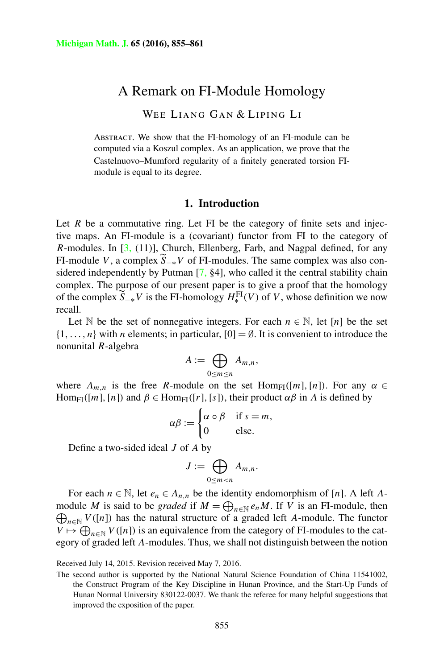# A Remark on FI-Module Homology

# WEE LIANG GAN & LIPING LI

Abstract. We show that the FI-homology of an FI-module can be computed via a Koszul complex. As an application, we prove that the Castelnuovo–Mumford regularity of a finitely generated torsion FImodule is equal to its degree.

# **1. Introduction**

Let  $R$  be a commutative ring. Let  $F1$  be the category of finite sets and injective maps. An FI-module is a (covariant) functor from FI to the category of *R*-modules. In [[3,](#page-6-0) (11)], Church, Ellenberg, Farb, and Nagpal defined, for any FI-module *V*, a complex  $S_{-*}V$  of FI-modules. The same complex was also considered independently by Putman  $[7, §4]$  $[7, §4]$  $[7, §4]$ , who called it the central stability chain complex. The purpose of our present paper is to give a proof that the homology of the complex  $\widetilde{S}_{-*}V$  is the FI-homology  $H_*^{\text{FI}}(V)$  of *V*, whose definition we now recall.

Let N be the set of nonnegative integers. For each  $n \in \mathbb{N}$ , let [*n*] be the set  $\{1,\ldots,n\}$  with *n* elements; in particular,  $[0]=\emptyset$ . It is convenient to introduce the nonunital *R*-algebra

$$
A:=\bigoplus_{0\leq m\leq n}A_{m,n},
$$

where  $A_{m,n}$  is the free *R*-module on the set Hom<sub>FI</sub>([*m*], [*n*]). For any  $\alpha \in$ Hom<sub>FI</sub>([*m*], [*n*]) and  $\beta \in$  Hom<sub>FI</sub>([*r*], [*s*]), their product  $\alpha\beta$  in *A* is defined by

$$
\alpha \beta := \begin{cases} \alpha \circ \beta & \text{if } s = m, \\ 0 & \text{else.} \end{cases}
$$

Define a two-sided ideal *J* of *A* by

$$
J:=\bigoplus_{0\leq m
$$

For each  $n \in \mathbb{N}$ , let  $e_n \in A_{n,n}$  be the identity endomorphism of [*n*]. A left *A*module *M* is said to be *graded* if  $M = \bigoplus_{n \in \mathbb{N}} e_n M$ . If *V* is an FI-module, then  $\bigoplus_{n \in \mathbb{N}} V([n])$  has the natural structure of a graded left *A*-module. The functor  $\bigoplus_{n\in\mathbb{N}}V([n])$  has the natural structure of a graded left *A*-module. The functor  $V \mapsto \bigoplus_{n \in \mathbb{N}} V([n])$  is an equivalence from the category of FI-modules to the category of graded left *A*-modules. Thus, we shall not distinguish between the notion

Received July 14, 2015. Revision received May 7, 2016.

The second author is supported by the National Natural Science Foundation of China 11541002, the Construct Program of the Key Discipline in Hunan Province, and the Start-Up Funds of Hunan Normal University 830122-0037. We thank the referee for many helpful suggestions that improved the exposition of the paper.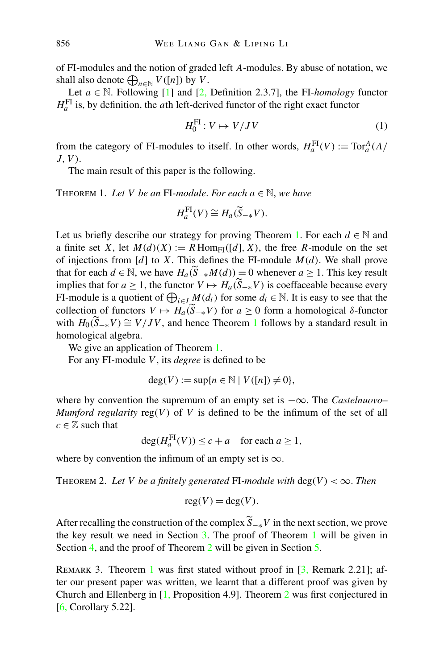<span id="page-1-0"></span>of FI-modules and the notion of graded left *A*-modules. By abuse of notation, we shall also denote  $\bigoplus_{n \in \mathbb{N}} V([n])$  by *V*.

Let  $a \in \mathbb{N}$ . Following [[1\]](#page-6-0) and [[2,](#page-6-0) Definition 2.3.7], the FI-*homology* functor  $H_a^{\text{FI}}$  is, by definition, the *a*th left-derived functor of the right exact functor

$$
H_0^{\text{FI}} : V \mapsto V/JV \tag{1}
$$

from the category of FI-modules to itself. In other words,  $H_a^{\text{FI}}(V) := \text{Tor}_a^A(A)$ *J,V )*.

The main result of this paper is the following.

THEOREM 1. Let *V* be an FI-module. For each  $a \in \mathbb{N}$ , we have

$$
H_a^{\mathrm{FI}}(V) \cong H_a(\widetilde{S}_{-*}V).
$$

Let us briefly describe our strategy for proving Theorem 1. For each  $d \in \mathbb{N}$  and a finite set *X*, let  $M(d)(X) := R$  Hom<sub>FI</sub> $([d], X)$ , the free *R*-module on the set of injections from [*d*] to *X*. This defines the FI-module *M(d)*. We shall prove that for each *d* ∈ N, we have  $H_a(\widetilde{S}_{-*}M(d)) = 0$  whenever *a* ≥ 1. This key result implies that for *a*  $\geq$  1, the functor *V*  $\mapsto$  *H<sub>a</sub>*(*S*<sub>−∗</sub>*V*) is coeffaceable because every FI-module is a quotient of  $\bigoplus_{i \in I} M(d_i)$  for some  $d_i \in \mathbb{N}$ . It is easy to see that the collection of functors  $V \mapsto H_a(S_{-*}V)$  for  $a \ge 0$  form a homological  $\delta$ -functor with  $H_0(\widetilde{S}_{-*}V) \cong V/JV$ , and hence Theorem 1 follows by a standard result in homological algebra.

We give an application of Theorem 1.

For any FI-module *V* , its *degree* is defined to be

$$
deg(V) := sup\{n \in \mathbb{N} \mid V([n]) \neq 0\},\
$$

where by convention the supremum of an empty set is −∞. The *Castelnuovo– Mumford regularity* reg $(V)$  of V is defined to be the infimum of the set of all  $c \in \mathbb{Z}$  such that

$$
\deg(H_a^{\text{FI}}(V)) \le c + a \quad \text{for each } a \ge 1,
$$

where by convention the infimum of an empty set is  $\infty$ .

THEOREM 2. Let *V* be a finitely generated FI-module with  $deg(V) < \infty$ . Then

$$
reg(V) = deg(V).
$$

After recalling the construction of the complex-*S*−∗*V* in the next section, we prove the key result we need in Section [3.](#page-2-0) The proof of Theorem 1 will be given in Section [4,](#page-4-0) and the proof of Theorem 2 will be given in Section [5.](#page-5-0)

REMARK 3. Theorem 1 was first stated without proof in  $\lceil 3$ , Remark 2.21]; after our present paper was written, we learnt that a different proof was given by Church and Ellenberg in [[1](#page-6-0), Proposition 4.9]. Theorem 2 was first conjectured in [[6,](#page-6-0) Corollary 5.22].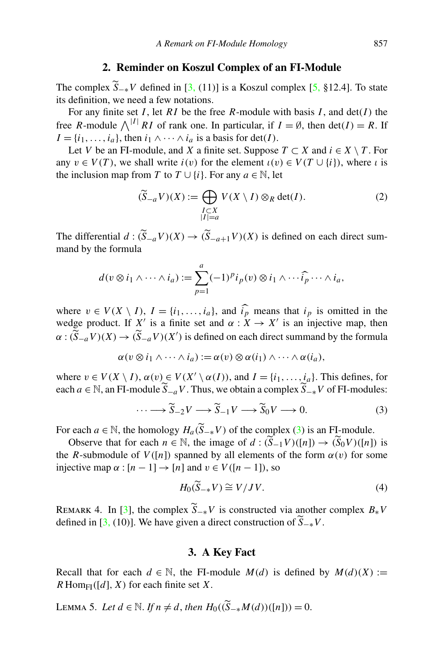### **2. Reminder on Koszul Complex of an FI-Module**

<span id="page-2-0"></span>The complex  $S_{-*}V$  defined in [[3,](#page-6-0) (11)] is a Koszul complex [\[5](#page-6-0), §12.4]. To state its definition, we need a few notations.

For any finite set *I*, let *RI* be the free *R*-module with basis *I*, and  $det(I)$  the free *R*-module  $\bigwedge^{|\mathcal{I}|} R\mathcal{I}$  of rank one. In particular, if  $\mathcal{I} = \emptyset$ , then  $\det(\mathcal{I}) = R$ . If  $I = \{i_1, \ldots, i_a\}$ , then  $i_1 \wedge \cdots \wedge i_a$  is a basis for det(*I*).

Let *V* be an FI-module, and *X* a finite set. Suppose  $T \subset X$  and  $i \in X \setminus T$ . For any  $v \in V(T)$ , we shall write  $i(v)$  for the element  $i(v) \in V(T \cup \{i\})$ , where *ι* is the inclusion map from *T* to *T*  $\cup$  {*i*}. For any *a*  $\in$  N, let

$$
(\widetilde{S}_{-a}V)(X) := \bigoplus_{\substack{I \subset X \\ |I| = a}} V(X \setminus I) \otimes_R \det(I). \tag{2}
$$

The differential  $d : (S_{-a}V)(X) \to (S_{-a+1}V)(X)$  is defined on each direct summand by the formula

$$
d(v \otimes i_1 \wedge \cdots \wedge i_a) := \sum_{p=1}^a (-1)^p i_p(v) \otimes i_1 \wedge \cdots \widehat{i_p} \cdots \wedge i_a,
$$

where  $v \in V(X \setminus I)$ ,  $I = \{i_1, \ldots, i_a\}$ , and  $i_p$  means that  $i_p$  is omitted in the wedge product. If *X'* is a finite set and  $\alpha : X \to X'$  is an injective map, then  $\alpha$  :  $(\widetilde{S}_{-a}V)(X) \to (\widetilde{S}_{-a}V)(X')$  is defined on each direct summand by the formula

$$
\alpha(v \otimes i_1 \wedge \cdots \wedge i_a) := \alpha(v) \otimes \alpha(i_1) \wedge \cdots \wedge \alpha(i_a),
$$

where  $v \in V(X \setminus I)$ ,  $\alpha(v) \in V(X' \setminus \alpha(I))$ , and  $I = \{i_1, \ldots, i_a\}$ . This defines, for each  $a \in \mathbb{N}$ , an FI-module  $\widetilde{S}_{-a}V$ . Thus, we obtain a complex  $\widetilde{S}_{-*}V$  of FI-modules:

$$
\cdots \longrightarrow \widetilde{S}_{-2}V \longrightarrow \widetilde{S}_{-1}V \longrightarrow \widetilde{S}_0V \longrightarrow 0. \tag{3}
$$

For each  $a \in \mathbb{N}$ , the homology  $H_a(\widetilde{S}_{-*}V)$  of the complex (3) is an FI-module.

Observe that for each  $n \in \mathbb{N}$ , the image of  $d : (\widetilde{S}_{-1}V)([n]) \to (\widetilde{S}_0V)([n])$  is the *R*-submodule of  $V([n])$  spanned by all elements of the form  $\alpha(v)$  for some injective map  $\alpha : [n-1] \rightarrow [n]$  and  $v \in V([n-1])$ , so

$$
H_0(\widetilde{S}_{-*}V) \cong V/JV. \tag{4}
$$

REMARK 4. In [[3\]](#page-6-0), the complex  $S_{-*}V$  is constructed via another complex  $B_*V$ defined in [[3,](#page-6-0) (10)]. We have given a direct construction of  $S_{-*}V$ .

# **3. A Key Fact**

Recall that for each  $d \in \mathbb{N}$ , the FI-module  $M(d)$  is defined by  $M(d)(X) :=$  $R$  Hom<sub>FI</sub>([*d*],  $X$ ) for each finite set  $X$ .

LEMMA 5. *Let d* ∈ ℕ. *If*  $n \neq d$ , *then*  $H_0((\widetilde{S}_{-*}M(d))([n])) = 0$ .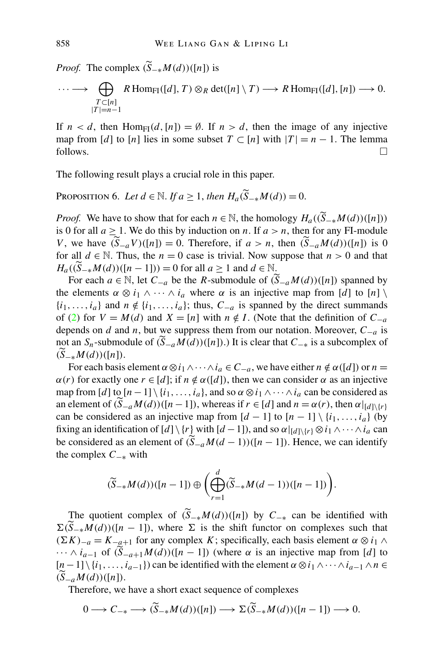<span id="page-3-0"></span>*Proof.* The complex  $(S_{-*}M(d))([n])$  is

$$
\cdots \longrightarrow \bigoplus_{\substack{T \subset [n] \\ |T| = n-1}} R \operatorname{Hom}_{\text{FI}}([d], T) \otimes_R \det([n] \setminus T) \longrightarrow R \operatorname{Hom}_{\text{FI}}([d], [n]) \longrightarrow 0.
$$

If  $n < d$ , then Hom<sub>FI</sub> $(d, [n]) = \emptyset$ . If  $n > d$ , then the image of any injective map from [*d*] to [*n*] lies in some subset  $T \subset [n]$  with  $|T| = n - 1$ . The lemma follows.  $\Box$ 

The following result plays a crucial role in this paper.

PROPOSITION 6. Let  $d \in \mathbb{N}$ . If  $a \ge 1$ , then  $H_a(\widetilde{S}_{-*}M(d)) = 0$ .

*Proof.* We have to show that for each  $n \in \mathbb{N}$ , the homology  $H_a((\widetilde{S}_{-*}M(d))([n]))$ is 0 for all  $a \ge 1$ . We do this by induction on *n*. If  $a > n$ , then for any FI-module *V*, we have  $(S_{-a}V)([n]) = 0$ . Therefore, if  $a > n$ , then  $(S_{-a}M(d))([n])$  is 0 for all  $d \in \mathbb{N}$ . Thus, the  $n = 0$  case is trivial. Now suppose that  $n > 0$  and that *H<sub>a</sub>*(( $\widetilde{S}_{-*}M(d)$ )([*n* − 1])) = 0 for all *a* ≥ 1 and *d* ∈ N.

For each  $a \in \mathbb{N}$ , let  $C_{-a}$  be the *R*-submodule of  $(\widetilde{S}_{-a}M(d))([n])$  spanned by the elements  $\alpha \otimes i_1 \wedge \cdots \wedge i_a$  where  $\alpha$  is an injective map from [*d*] to [*n*] \  $\{i_1, \ldots, i_a\}$  and  $n \notin \{i_1, \ldots, i_a\}$ ; thus,  $C_{-a}$  is spanned by the direct summands of ([2\)](#page-2-0) for  $V = M(d)$  and  $X = [n]$  with  $n \notin I$ . (Note that the definition of  $C_{-a}$ depends on *d* and *n*, but we suppress them from our notation. Moreover, *C*−*<sup>a</sup>* is not an  $S_n$ -submodule of  $(S_{-a}M(d))([n])$ .) It is clear that  $C_{-*}$  is a subcomplex of *(*-*S*−∗*M(d))(*[*n*]*)*.

For each basis element  $\alpha \otimes i_1 \wedge \cdots \wedge i_a \in C_{-a}$ , we have either  $n \notin \alpha([d])$  or  $n =$  $\alpha(r)$  for exactly one  $r \in [d]$ ; if  $n \notin \alpha([d])$ , then we can consider  $\alpha$  as an injective map from  $[d]$  to  $[n-1] \setminus \{i_1, \ldots, i_a\}$ , and so  $\alpha \otimes i_1 \wedge \cdots \wedge i_a$  can be considered as an element of  $(S_{-a}M(d))([n-1])$ , whereas if  $r \in [d]$  and  $n = \alpha(r)$ , then  $\alpha|_{[d]\setminus\{r\}}$ can be considered as an injective map from  $[d-1]$  to  $[n-1] \setminus \{i_1, \ldots, i_a\}$  (by fixing an identification of  $[d] \setminus \{r\}$  with  $[d-1]$ ), and so  $\alpha|_{[d] \setminus \{r\}} \otimes i_1 \wedge \cdots \wedge i_a$  can be considered as an element of  $(S_{-a}M(d-1))([n-1])$ . Hence, we can identify the complex *C*−∗ with

$$
(\widetilde{S}_{-*}M(d))([n-1])\oplus \left(\bigoplus_{r=1}^d (\widetilde{S}_{-*}M(d-1))([n-1])\right).
$$

The quotient complex of  $(S_{-*}M(d))([n])$  by  $C_{-*}$  can be identified with  $\sum (S_{-*}M(d))([n-1])$ , where  $\sum$  is the shift functor on complexes such that  $(ΣK)_{-a} = K_{-a+1}$  for any complex *K*; specifically, each basis element *α* ⊗ *i*<sub>1</sub> ∧  $\cdots \wedge i_{a-1}$  of  $(\bar{S}_{-a+1}M(d))([n-1])$  (where  $\alpha$  is an injective map from [*d*] to  $[n-1]\setminus\{i_1,\ldots,i_{a-1}\}\)$  can be identified with the element  $\alpha\otimes i_1 \wedge \cdots \wedge i_{a-1} \wedge n \in$ *(*-*S*−*aM(d))(*[*n*]*)*.

Therefore, we have a short exact sequence of complexes

$$
0 \longrightarrow C_{-*} \longrightarrow (\widetilde{S}_{-*}M(d))([n]) \longrightarrow \Sigma(\widetilde{S}_{-*}M(d))([n-1]) \longrightarrow 0.
$$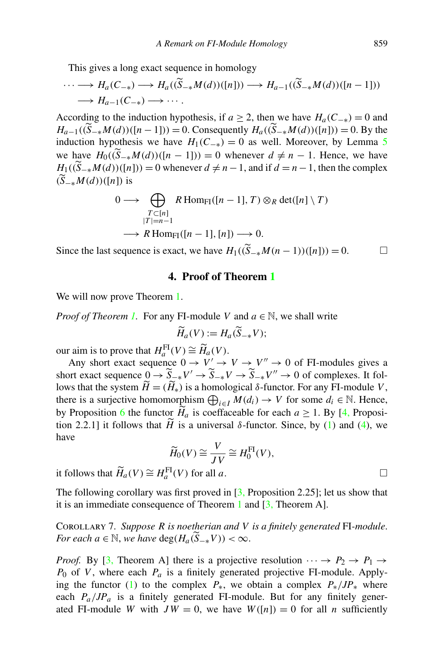<span id="page-4-0"></span>This gives a long exact sequence in homology

$$
\cdots \longrightarrow H_a(C_{-*}) \longrightarrow H_a((\widetilde{S}_{-*}M(d))([n])) \longrightarrow H_{a-1}((\widetilde{S}_{-*}M(d))([n-1]))
$$
  

$$
\longrightarrow H_{a-1}(C_{-*}) \longrightarrow \cdots.
$$

According to the induction hypothesis, if *a*  $\geq$  2, then we have *H<sub>a</sub>*( $C_{-*}$ ) = 0 and *H<sub>a</sub>*−1((S<sub>−\*</sub>*M(d)*)([*n* − 1])) = 0. Consequently *H<sub>a</sub>*((S<sub>−\*</sub>*M(d)*)([*n*])) = 0. By the induction hypothesis we have  $H_1(C_{-*)} = 0$  as well. Moreover, by Lemma [5](#page-2-0) we have  $H_0((S_{-*}M(d))([n-1])) = 0$  whenever  $d \neq n-1$ . Hence, we have  $H_1((S_{-*}M(d))([n])) = 0$  whenever  $d \neq n-1$ , and if  $d = n-1$ , then the complex *(*-*S*−∗*M(d))(*[*n*]*)* is

> $0 \longrightarrow \Theta$  $T \subset [n]$ <br> $|T| = n-1$ *R* Hom<sub>FI</sub>([ $n-1$ ], *T*) ⊗*R* det([ $n$ ] \ *T*)  $\longrightarrow$  *R* Hom<sub>FI</sub>( $[n-1]$ ,  $[n] \longrightarrow 0$ .

Since the last sequence is exact, we have  $H_1((S_+ * M(n-1))([n])) = 0.$  □

#### **4. Proof of Theorem [1](#page-1-0)**

We will now prove Theorem [1.](#page-1-0)

*Proof of Theorem [1](#page-1-0).* For any FI-module *V* and  $a \in \mathbb{N}$ , we shall write

$$
\widetilde{H}_a(V) := H_a(\widetilde{S}_{-*}V);
$$

our aim is to prove that  $H_a^{\text{FI}}(V) \cong \widetilde{H}_a(V)$ .

Any short exact sequence  $0 \rightarrow V' \rightarrow V \rightarrow V'' \rightarrow 0$  of FI-modules gives a short exact sequence  $0 \to \widetilde{S}_{-*}V' \to \widetilde{S}_{-*}V \to \widetilde{S}_{-*}V'' \to 0$  of complexes. It follows that the system  $\hat{H} = (\hat{H}_*)$  is a homological  $\delta$ -functor. For any FI-module *V*, there is a surjective homomorphism  $\bigoplus_{i \in I} M(d_i) \to V$  for some  $d_i \in \mathbb{N}$ . Hence, by Proposition [6](#page-3-0) the functor  $H_a$  is coeffaceable for each  $a \ge 1$ . By [\[4](#page-6-0), Proposition 2.2.1] it follows that *H* is a universal  $\delta$ -functor. Since, by ([1\)](#page-1-0) and ([4](#page-2-0)), we have

$$
\widetilde{H}_0(V) \cong \frac{V}{JV} \cong H_0^{\text{FI}}(V),
$$

it follows that  $\widetilde{H}_a(V) \cong H_a^{\text{FI}}(V)$  for all *a*.

The following corollary was first proved in  $[3,$  $[3,$  Proposition 2.25]; let us show that it is an immediate consequence of Theorem [1](#page-1-0) and [[3,](#page-6-0) Theorem A].

Corollary 7. *Suppose R is noetherian and V is a finitely generated* FI*-module*. *For each*  $a \in \mathbb{N}$ , *we have*  $deg(H_a(\widetilde{S}_{-*}V)) < \infty$ .

*Proof.* By [[3,](#page-6-0) Theorem A] there is a projective resolution  $\cdots \rightarrow P_2 \rightarrow P_1 \rightarrow$  $P_0$  of *V*, where each  $P_a$  is a finitely generated projective FI-module. Apply-ing the functor [\(1](#page-1-0)) to the complex  $P_{*}$ , we obtain a complex  $P_{*}/JP_{*}$  where each  $P_a/JP_a$  is a finitely generated FI-module. But for any finitely generated FI-module *W* with  $JW = 0$ , we have  $W([n]) = 0$  for all *n* sufficiently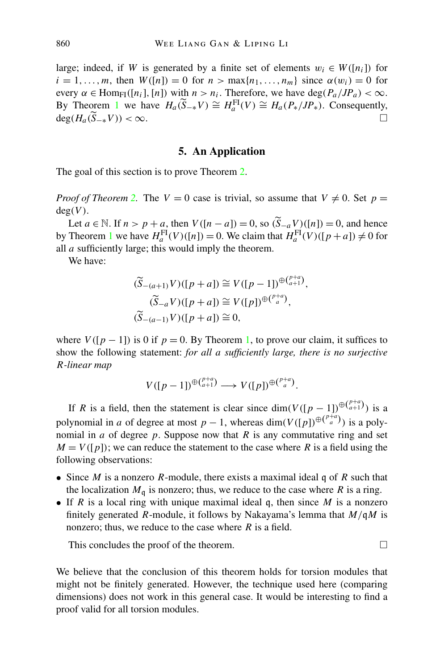<span id="page-5-0"></span>large; indeed, if *W* is generated by a finite set of elements  $w_i \in W([n_i])$  for  $i = 1, \ldots, m$ , then  $W([n]) = 0$  for  $n > \max\{n_1, \ldots, n_m\}$  since  $\alpha(w_i) = 0$  for every  $\alpha \in \text{Hom}_{FI}([n_i], [n])$  with  $n > n_i$ . Therefore, we have deg $(P_a/JP_a) < \infty$ . By Theorem [1](#page-1-0) we have  $H_a(\widetilde{S}_{-*}V) \cong H_a^{\text{FI}}(V) \cong H_a(P_*/JP_*)$ . Consequently,  $deg(H_a(S_{-*}V)) < \infty$ .

#### **5. An Application**

The goal of this section is to prove Theorem [2](#page-1-0).

*Proof of Theorem [2](#page-1-0).* The  $V = 0$  case is trivial, so assume that  $V \neq 0$ . Set  $p =$  $deg(V)$ .

Let *a* ∈ N. If *n* > *p* + *a*, then *V* ([*n* − *a*]) = 0, so  $(\widetilde{S}_{-a}V)([n]) = 0$ , and hence by Theorem [1](#page-1-0) we have  $H_a^{\text{FI}}(V)([n]) = 0$ . We claim that  $H_a^{\text{FI}}(V)([p + a]) \neq 0$  for all *a* sufficiently large; this would imply the theorem.

We have:

$$
\begin{aligned} (\widetilde{S}_{-(a+1)}V)([p+a]) &\cong V([p-1])^{\oplus \binom{p+a}{a+1}},\\ (\widetilde{S}_{-a}V)([p+a]) &\cong V([p])^{\oplus \binom{p+a}{a}},\\ (\widetilde{S}_{-(a-1)}V)([p+a]) &\cong 0,\end{aligned}
$$

 $p + a$ <sup>2</sup>

where  $V([p-1])$  is 0 if  $p = 0$ . By Theorem [1,](#page-1-0) to prove our claim, it suffices to show the following statement: *for all a sufficiently large, there is no surjective R-linear map*

$$
V([p-1])^{\oplus {p+a \choose a+1}} \longrightarrow V([p])^{\oplus {p+a \choose a}}.
$$

If *R* is a field, then the statement is clear since  $\dim(V([p-1])^{\oplus {p+a \choose a+1}})$  is a polynomial in *a* of degree at most  $p-1$ , whereas dim $(V([p])^{\oplus {p+a \choose a}})$  is a polynomial in  $a$  of degree  $p$ . Suppose now that  $R$  is any commutative ring and set  $M = V([p])$ ; we can reduce the statement to the case where *R* is a field using the following observations:

- Since *M* is a nonzero *R*-module, there exists a maximal ideal q of *R* such that the localization  $M_{\sigma}$  is nonzero; thus, we reduce to the case where *R* is a ring.
- If *R* is a local ring with unique maximal ideal q, then since *M* is a nonzero finitely generated *R*-module, it follows by Nakayama's lemma that *M/*q*M* is nonzero; thus, we reduce to the case where *R* is a field.

This concludes the proof of the theorem.  $\Box$ 

We believe that the conclusion of this theorem holds for torsion modules that might not be finitely generated. However, the technique used here (comparing dimensions) does not work in this general case. It would be interesting to find a proof valid for all torsion modules.